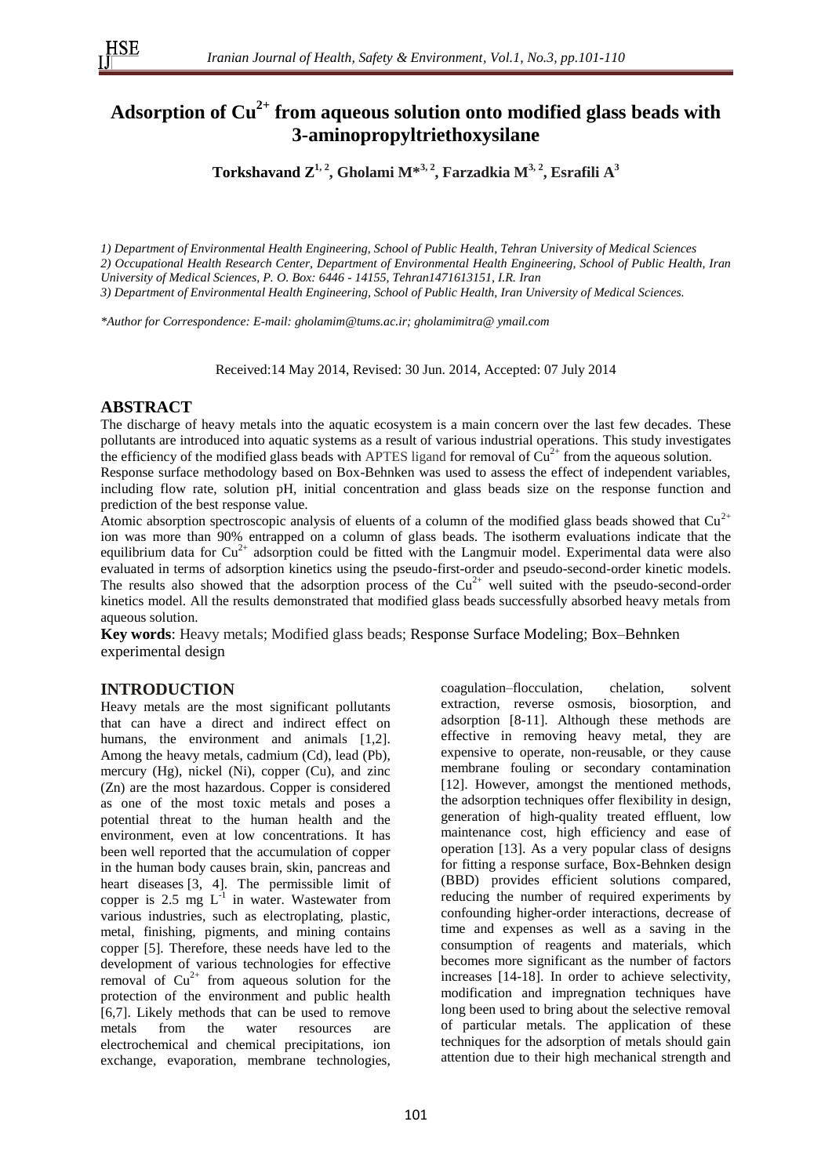# **Adsorption of Cu2+ from aqueous solution onto modified glass beads with 3-aminopropyltriethoxysilane**

**Torkshavand Z1, 2 , Gholami M\*3, 2 , Farzadkia M3, 2, Esrafili A<sup>3</sup>**

*1) Department of Environmental Health Engineering, School of Public Health, Tehran University of Medical Sciences 2) Occupational Health Research Center, Department of Environmental Health Engineering, School of Public Health, Iran University of Medical Sciences, P. O. Box: 6446 - 14155, Tehran1471613151, I.R. Iran 3) Department of Environmental Health Engineering, School of Public Health, Iran University of Medical Sciences.* 

*\*Author for Correspondence: E-mail: gholamim@tums.ac.ir; gholamimitra@ ymail.com*

Received:14 May 2014, Revised: 30 Jun. 2014, Accepted: 07 July 2014

### **ABSTRACT**

The discharge of heavy metals into the aquatic ecosystem is a main concern over the last few decades. These pollutants are introduced into aquatic systems as a result of various industrial operations. This study investigates the efficiency of the modified glass beads with APTES ligand for removal of  $Cu^{2+}$  from the aqueous solution.

Response surface methodology based on Box-Behnken was used to assess the effect of independent variables, including flow rate, solution pH, initial concentration and glass beads size on the response function and prediction of the best response value.

Atomic absorption spectroscopic analysis of eluents of a column of the modified glass beads showed that  $Cu^{2+}$ ion was more than 90% entrapped on a column of glass beads. The isotherm evaluations indicate that the equilibrium data for  $Cu^{2+}$  adsorption could be fitted with the Langmuir model. Experimental data were also evaluated in terms of adsorption kinetics using the pseudo-first-order and pseudo-second-order kinetic models. The results also showed that the adsorption process of the  $Cu^{2+}$  well suited with the pseudo-second-order kinetics model. All the results demonstrated that modified glass beads successfully absorbed heavy metals from aqueous solution.

**Key words**: Heavy metals; Modified glass beads; Response Surface Modeling; Box–Behnken experimental design

## **INTRODUCTION**

Heavy metals are the most significant pollutants that can have a direct and indirect effect on humans, the environment and animals [1,2]. Among the heavy metals, cadmium (Cd), lead (Pb), mercury (Hg), nickel (Ni), copper (Cu), and zinc (Zn) are the most hazardous. Copper is considered as one of the most toxic metals and poses a potential threat to the human health and the environment, even at low concentrations. It has been well reported that the accumulation of copper in the human body causes brain, skin, pancreas and heart diseases [3, 4]. The permissible limit of copper is 2.5 mg  $L^{-1}$  in water. Wastewater from various industries, such as electroplating, plastic, metal, finishing, pigments, and mining contains copper [5]. Therefore, these needs have led to the development of various technologies for effective removal of  $Cu<sup>2+</sup>$  from aqueous solution for the protection of the environment and public health [6,7]. Likely methods that can be used to remove metals from the water resources are electrochemical and chemical precipitations, ion exchange, evaporation, membrane technologies,

coagulation–flocculation, chelation, solvent extraction, reverse osmosis, biosorption, and adsorption [8-11]. Although these methods are effective in removing heavy metal, they are expensive to operate, non-reusable, or they cause membrane fouling or secondary contamination [12]. However, amongst the mentioned methods, the adsorption techniques offer flexibility in design, generation of high-quality treated effluent, low maintenance cost, high efficiency and ease of operation [13]. As a very popular class of designs for fitting a response surface, Box-Behnken design (BBD) provides efficient solutions compared, reducing the number of required experiments by confounding higher-order interactions, decrease of time and expenses as well as a saving in the consumption of reagents and materials, which becomes more significant as the number of factors increases [14-18]. In order to achieve selectivity, modification and impregnation techniques have long been used to bring about the selective removal of particular metals. The application of these techniques for the adsorption of metals should gain attention due to their high mechanical strength and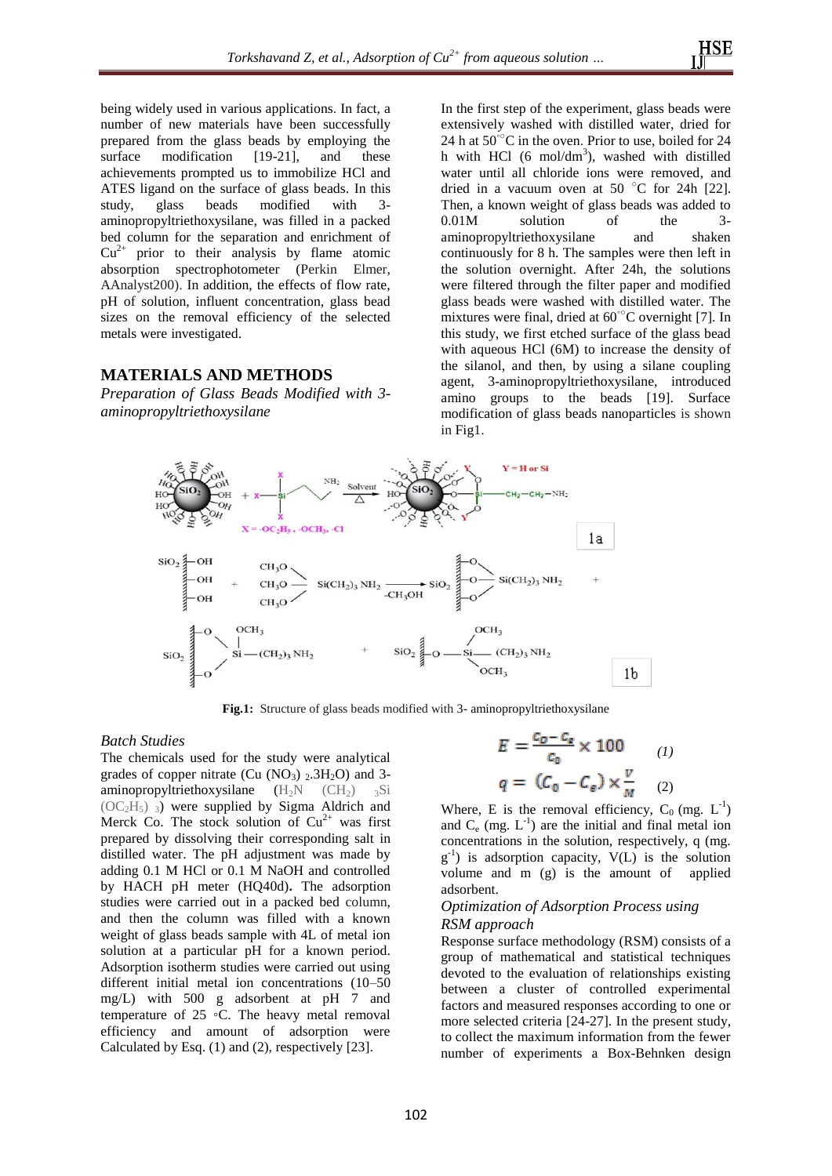being widely used in various applications. In fact, a number of new materials have been successfully prepared from the glass beads by employing the surface modification [19-21], and these achievements prompted us to immobilize HCl and ATES ligand on the surface of glass beads. In this study, glass beads modified with 3study, glass beads modified with 3 aminopropyltriethoxysilane, was filled in a packed bed column for the separation and enrichment of  $Cu<sup>2+</sup>$  prior to their analysis by flame atomic absorption spectrophotometer (Perkin Elmer, AAnalyst200). In addition, the effects of flow rate, pH of solution, influent concentration, glass bead sizes on the removal efficiency of the selected metals were investigated.

#### **MATERIALS AND METHODS**

*Preparation of Glass Beads Modified with 3 aminopropyltriethoxysilane*

In the first step of the experiment, glass beads were extensively washed with distilled water, dried for 24 h at  $50^{\circ}$ C in the oven. Prior to use, boiled for 24 h with HCl (6 mol/dm<sup>3</sup>), washed with distilled water until all chloride ions were removed, and dried in a vacuum oven at 50  $\degree$ C for 24h [22]. Then, a known weight of glass beads was added to 0.01M solution of the 3 aminopropyltriethoxysilane and shaken continuously for 8 h. The samples were then left in the solution overnight. After 24h, the solutions were filtered through the filter paper and modified glass beads were washed with distilled water. The mixtures were final, dried at 60◦○C overnight [7]. In this study, we first etched surface of the glass bead with aqueous HCl (6M) to increase the density of the silanol, and then, by using a silane coupling agent, 3-aminopropyltriethoxysilane, introduced amino groups to the beads [19]. Surface modification of glass beads nanoparticles is shown in Fig1.



**Fig.1:** Structure of glass beads modified with 3- aminopropyltriethoxysilane

#### *Batch Studies*

The chemicals used for the study were analytical grades of copper nitrate (Cu  $(NO<sub>3</sub>)$   $_2$ .3H<sub>2</sub>O) and 3aminopropyltriethoxysilane  $(H_2N - (CH_2) - 3Si)$  $(OC<sub>2</sub>H<sub>5</sub>)$ <sup>3</sup>) were supplied by Sigma Aldrich and Merck Co. The stock solution of  $Cu^{2+}$  was first prepared by dissolving their corresponding salt in distilled water. The pH adjustment was made by adding 0.1 M HCl or 0.1 M NaOH and controlled by HACH pH meter (HQ40d)**.** The adsorption studies were carried out in a packed bed column, and then the column was filled with a known weight of glass beads sample with 4L of metal ion solution at a particular pH for a known period. Adsorption isotherm studies were carried out using different initial metal ion concentrations (10–50 mg/L) with 500 g adsorbent at pH 7 and temperature of 25 ◦C. The heavy metal removal efficiency and amount of adsorption were Calculated by Esq. (1) and (2), respectively [23].

$$
E = \frac{c_0 - c_e}{c_0} \times 100 \qquad (1)
$$

$$
q = (C_0 - C_e) \times \frac{v}{M} \qquad (2)
$$

Where, E is the removal efficiency,  $C_0$  (mg.  $L^{-1}$ ) and  $C_e$  (mg.  $L^{-1}$ ) are the initial and final metal ion concentrations in the solution, respectively, q (mg.  $g^{-1}$ ) is adsorption capacity,  $V(L)$  is the solution volume and m (g) is the amount of applied adsorbent.

#### *Optimization of Adsorption Process using RSM approach*

Response surface methodology (RSM) consists of a group of mathematical and statistical techniques devoted to the evaluation of relationships existing between a cluster of controlled experimental factors and measured responses according to one or more selected criteria [24-27]. In the present study, to collect the maximum information from the fewer number of experiments a Box-Behnken design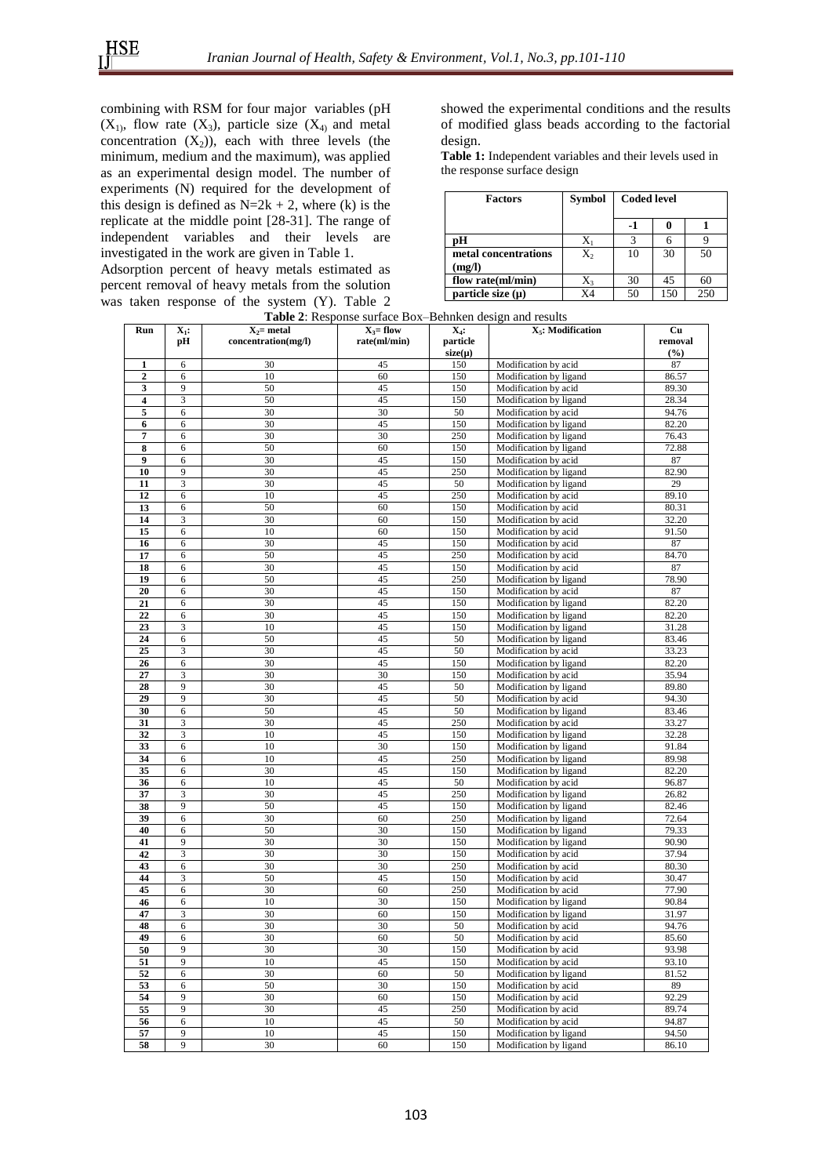combining with RSM for four major variables (pH  $(X_1)$ , flow rate  $(X_3)$ , particle size  $(X_4)$  and metal concentration  $(X_2)$ ), each with three levels (the minimum, medium and the maximum), was applied as an experimental design model. The number of experiments (N) required for the development of this design is defined as  $N=2k + 2$ , where (k) is the replicate at the middle point [28-31]. The range of independent variables and their levels are investigated in the work are given in Table 1.

Adsorption percent of heavy metals estimated as percent removal of heavy metals from the solution was taken response of the system (Y). Table 2

showed the experimental conditions and the results of modified glass beads according to the factorial design.

**Table 1:** Independent variables and their levels used in the response surface design

| <b>Factors</b>                 | <b>Symbol</b> | <b>Coded level</b> |     |     |
|--------------------------------|---------------|--------------------|-----|-----|
|                                |               |                    |     |     |
| рH                             |               |                    |     |     |
| metal concentrations<br>(mg/l) | Χ,            | 10                 | 30  | 50  |
| flow rate(ml/min)              | X3            | 30                 | 45  | 60  |
| particle size $(\mu)$          | X4            | 50                 | 150 | 250 |

| <b>Table 2:</b> Response surface Box-Behnken design and results |  |
|-----------------------------------------------------------------|--|
|                                                                 |  |

| Run            | $\overline{\mathbf{X}}_1$ : | $X_2$ = metal       | $X_3$ = flow | $X_4$ :     | X <sub>5</sub> : Modification | Cu      |
|----------------|-----------------------------|---------------------|--------------|-------------|-------------------------------|---------|
|                | pH                          | concentration(mg/l) | rate(ml/min) | particle    |                               | removal |
|                |                             |                     |              | $size(\mu)$ |                               | (%)     |
| 1              | 6                           | 30                  | 45           | 150         | Modification by acid          | 87      |
| $\overline{2}$ | 6                           | 10                  | 60           | 150         | Modification by ligand        | 86.57   |
| 3              | $\overline{9}$              | 50                  | 45           | 150         | Modification by acid          | 89.30   |
| 4              | $\overline{\mathbf{3}}$     | 50                  | 45           | 150         | Modification by ligand        | 28.34   |
| 5              | 6                           | 30                  | 30           | 50          | Modification by acid          | 94.76   |
| 6              | 6                           | 30                  | 45           | 150         | Modification by ligand        | 82.20   |
| $\overline{7}$ | 6                           | 30                  | 30           | 250         | Modification by ligand        | 76.43   |
| 8              | 6                           | 50                  | 60           | 150         | Modification by ligand        | 72.88   |
| 9              | 6                           | 30                  | 45           | 150         | Modification by acid          | 87      |
| 10             | 9                           | 30                  | 45           | 250         | Modification by ligand        | 82.90   |
| 11             | 3                           | 30                  | 45           | 50          | Modification by ligand        | 29      |
| 12             | 6                           | 10                  | 45           | 250         | Modification by acid          | 89.10   |
| 13             | 6                           | 50                  | 60           | 150         | Modification by acid          | 80.31   |
| 14             | 3                           | 30                  | 60           | 150         | Modification by acid          | 32.20   |
| 15             | 6                           | 10                  | 60           | 150         | Modification by acid          | 91.50   |
| 16             | 6                           | 30                  | 45           | 150         | Modification by acid          | 87      |
| 17             | 6                           | 50                  | 45           | 250         | Modification by acid          | 84.70   |
| 18             | 6                           | 30                  | 45           | 150         | Modification by acid          | 87      |
| 19             | 6                           | 50                  | 45           | 250         | Modification by ligand        | 78.90   |
| 20             | 6                           | 30                  | 45           | 150         | Modification by acid          | 87      |
| 21             | 6                           | 30                  | 45           | 150         | Modification by ligand        | 82.20   |
| 22             | 6                           | 30                  | 45           | 150         | Modification by ligand        | 82.20   |
| 23             | 3                           | 10                  | 45           | 150         | Modification by ligand        | 31.28   |
| 24             | 6                           | 50                  | 45           | 50          |                               | 83.46   |
| 25             | 3                           | 30                  | 45           | 50          | Modification by ligand        | 33.23   |
|                |                             | 30                  | 45           |             | Modification by acid          |         |
| 26             | 6                           |                     |              | 150         | Modification by ligand        | 82.20   |
| 27             | 3                           | 30                  | 30           | 150         | Modification by acid          | 35.94   |
| 28             | 9<br>$\overline{9}$         | 30                  | 45           | 50          | Modification by ligand        | 89.80   |
| 29             |                             | 30                  | 45           | 50          | Modification by acid          | 94.30   |
| 30             | 6                           | 50                  | 45           | 50          | Modification by ligand        | 83.46   |
| 31             | 3                           | 30                  | 45           | 250         | Modification by acid          | 33.27   |
| 32             | $\overline{\mathbf{3}}$     | 10                  | 45           | 150         | Modification by ligand        | 32.28   |
| 33             | 6                           | 10                  | 30           | 150         | Modification by ligand        | 91.84   |
| 34             | 6                           | 10                  | 45           | 250         | Modification by ligand        | 89.98   |
| 35             | 6                           | 30                  | 45           | 150         | Modification by ligand        | 82.20   |
| 36             | 6                           | 10                  | 45           | 50          | Modification by acid          | 96.87   |
| 37             | 3                           | 30                  | 45           | 250         | Modification by ligand        | 26.82   |
| 38             | 9                           | 50                  | 45           | 150         | Modification by ligand        | 82.46   |
| 39             | 6                           | 30                  | 60           | 250         | Modification by ligand        | 72.64   |
| 40             | 6                           | 50                  | 30           | 150         | Modification by ligand        | 79.33   |
| 41             | 9                           | 30                  | 30           | 150         | Modification by ligand        | 90.90   |
| 42             | 3                           | 30                  | 30           | 150         | Modification by acid          | 37.94   |
| 43             | 6                           | 30                  | 30           | 250         | Modification by acid          | 80.30   |
| 44             | 3                           | 50                  | 45           | 150         | Modification by acid          | 30.47   |
| 45             | 6                           | 30                  | 60           | 250         | Modification by acid          | 77.90   |
| 46             | 6                           | 10                  | 30           | 150         | Modification by ligand        | 90.84   |
| 47             | 3                           | 30                  | 60           | 150         | Modification by ligand        | 31.97   |
| 48             | 6                           | 30                  | 30           | 50          | Modification by acid          | 94.76   |
| 49             | 6                           | 30                  | 60           | 50          | Modification by acid          | 85.60   |
| 50             | 9                           | 30                  | 30           | 150         | Modification by acid          | 93.98   |
| 51             | $\overline{9}$              | 10                  | 45           | 150         | Modification by acid          | 93.10   |
| 52             | 6                           | 30                  | 60           | 50          | Modification by ligand        | 81.52   |
| 53             | 6                           | 50                  | 30           | 150         | Modification by acid          | 89      |
| 54             | $\overline{9}$              | 30                  | 60           | 150         | Modification by acid          | 92.29   |
| 55             | $\overline{9}$              | 30                  | 45           | 250         | Modification by acid          | 89.74   |
| 56             | 6                           | 10                  | 45           | 50          | Modification by acid          | 94.87   |
| 57             | 9                           | 10                  | 45           | 150         | Modification by ligand        | 94.50   |
| 58             | 9                           | 30                  | 60           | 150         | Modification by ligand        | 86.10   |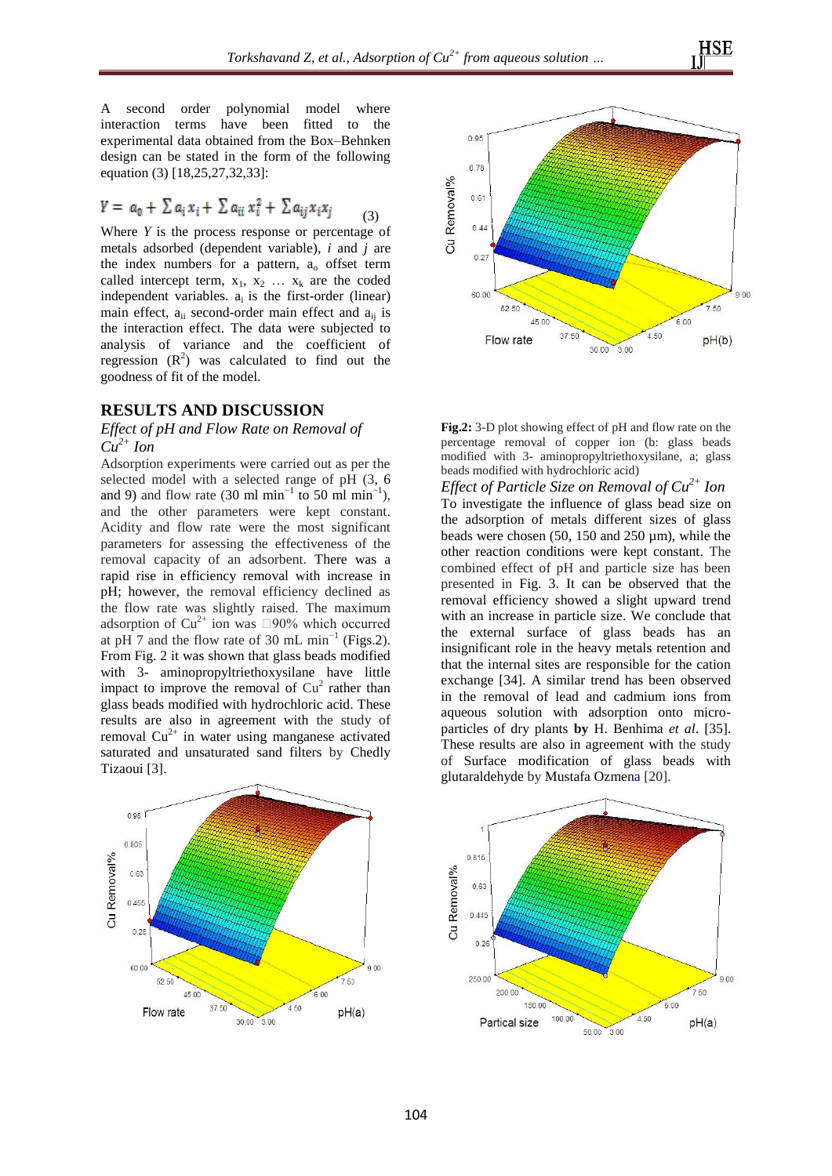A second order polynomial model where interaction terms have been fitted to the experimental data obtained from the Box–Behnken design can be stated in the form of the following equation (3) [18,25,27,32,33]:

$$
Y = a_0 + \sum a_i x_i + \sum a_{ii} x_i^2 + \sum a_{ij} x_i x_j \tag{3}
$$

Where *Y* is the process response or percentage of metals adsorbed (dependent variable), *i* and *j* are the index numbers for a pattern,  $a_0$  offset term called intercept term,  $x_1$ ,  $x_2$  ...  $x_k$  are the coded independent variables.  $a_i$  is the first-order (linear) main effect,  $a_{ii}$  second-order main effect and  $a_{ii}$  is the interaction effect. The data were subjected to analysis of variance and the coefficient of regression  $(R^2)$  was calculated to find out the goodness of fit of the model.

#### **RESULTS AND DISCUSSION**

### *Effect of pH and Flow Rate on Removal of*   $Cu^{2+}$  *Ion*

Adsorption experiments were carried out as per the selected model with a selected range of pH (3, 6 and 9) and flow rate (30 ml min<sup>-1</sup> to 50 ml min<sup>-1</sup>), and the other parameters were kept constant. Acidity and flow rate were the most significant parameters for assessing the effectiveness of the removal capacity of an adsorbent. There was a rapid rise in efficiency removal with increase in pH; however, the removal efficiency declined as the flow rate was slightly raised. The maximum adsorption of  $Cu^{2+}$  ion was  $\Box 90\%$  which occurred at pH 7 and the flow rate of 30 mL min<sup>-1</sup> (Figs.2). From Fig. 2 it was shown that glass beads modified with 3- aminopropyltriethoxysilane have little impact to improve the removal of  $Cu<sup>2</sup>$  rather than glass beads modified with hydrochloric acid. These results are also in agreement with the study of removal  $Cu^{2+}$  in water using manganese activated saturated and unsaturated sand filters by Chedly Tizaoui [3].





| <b>Fig.2:</b> 3-D plot showing effect of pH and flow rate on the |  |
|------------------------------------------------------------------|--|
| percentage removal of copper ion (b: glass beads                 |  |
| modified with 3- aminopropyltriethoxysilane, a; glass            |  |
| beads modified with hydrochloric acid)                           |  |

*Effect of Particle Size on Removal of Cu2+ Ion* To investigate the influence of glass bead size on the adsorption of metals different sizes of glass beads were chosen (50, 150 and 250 µm), while the other reaction conditions were kept constant. The combined effect of pH and particle size has been presented in Fig. 3. It can be observed that the removal efficiency showed a slight upward trend with an increase in particle size. We conclude that the external surface of glass beads has an insignificant role in the heavy metals retention and that the internal sites are responsible for the cation exchange [34]. A similar trend has been observed in the removal of lead and cadmium ions from aqueous solution with adsorption onto microparticles of dry plants **by** H. Benhima *et al*. [35]. These results are also in agreement with the study of Surface modification of glass beads with glutaraldehyde by Mustafa Ozmena [20].

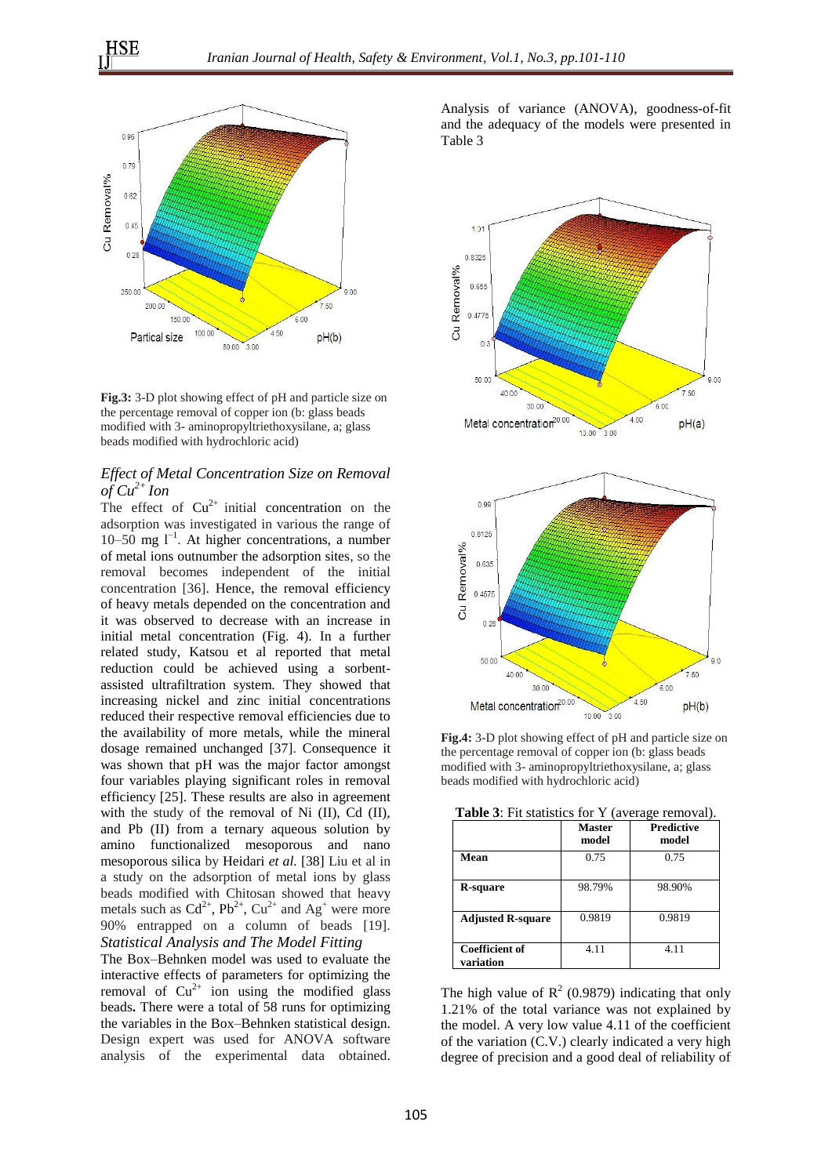

**Fig.3:** 3-D plot showing effect of pH and particle size on the percentage removal of copper ion (b: glass beads modified with 3- aminopropyltriethoxysilane, a; glass beads modified with hydrochloric acid)

#### *Effect of Metal Concentration Size on Removal*   $of Cu^{2+}$  *Ion*

The effect of  $Cu^{2+}$  initial concentration on the adsorption was investigated in various the range of 10–50 mg l−1 . At higher concentrations, a number of metal ions outnumber the adsorption sites, so the removal becomes independent of the initial concentration [36]. Hence, the removal efficiency of heavy metals depended on the concentration and it was observed to decrease with an increase in initial metal concentration (Fig. 4). In a further related study, Katsou et al reported that metal reduction could be achieved using a sorbentassisted ultrafiltration system. They showed that increasing nickel and zinc initial concentrations reduced their respective removal efficiencies due to the availability of more metals, while the mineral dosage remained unchanged [37]. Consequence it was shown that pH was the major factor amongst four variables playing significant roles in removal efficiency [25]. These results are also in agreement with the study of the removal of Ni (II), Cd (II), and Pb (II) from a ternary aqueous solution by amino functionalized mesoporous and nano mesoporous silica by Heidari *et al.* [38] Liu et al in a study on the adsorption of metal ions by glass beads modified with Chitosan showed that heavy metals such as  $Cd^{2+}$ ,  $Pb^{2+}$ ,  $Cu^{2+}$  and  $Ag^{+}$  were more 90% entrapped on a column of beads [19]. *Statistical Analysis and The Model Fitting*

The Box–Behnken model was used to evaluate the interactive effects of parameters for optimizing the removal of  $Cu^{2+}$  ion using the modified glass beads**.** There were a total of 58 runs for optimizing the variables in the Box–Behnken statistical design. Design expert was used for ANOVA software analysis of the experimental data obtained. Analysis of variance (ANOVA), goodness-of-fit and the adequacy of the models were presented in Table 3





**Fig.4:** 3-D plot showing effect of pH and particle size on the percentage removal of copper ion (b: glass beads modified with 3- aminopropyltriethoxysilane, a; glass beads modified with hydrochloric acid)

| <b>Table 3:</b> Fit statistics for Y (average removal). |  |  |
|---------------------------------------------------------|--|--|
|---------------------------------------------------------|--|--|

|                                    | <b>Master</b><br>model | <b>Predictive</b><br>model |
|------------------------------------|------------------------|----------------------------|
| Mean                               | 0.75                   | 0.75                       |
| R-square                           | 98.79%                 | 98.90%                     |
| <b>Adjusted R-square</b>           | 0.9819                 | 0.9819                     |
| <b>Coefficient of</b><br>variation | 4.11                   | 4.11                       |

The high value of  $R^2$  (0.9879) indicating that only 1.21% of the total variance was not explained by the model. A very low value 4.11 of the coefficient of the variation (C.V.) clearly indicated a very high degree of precision and a good deal of reliability of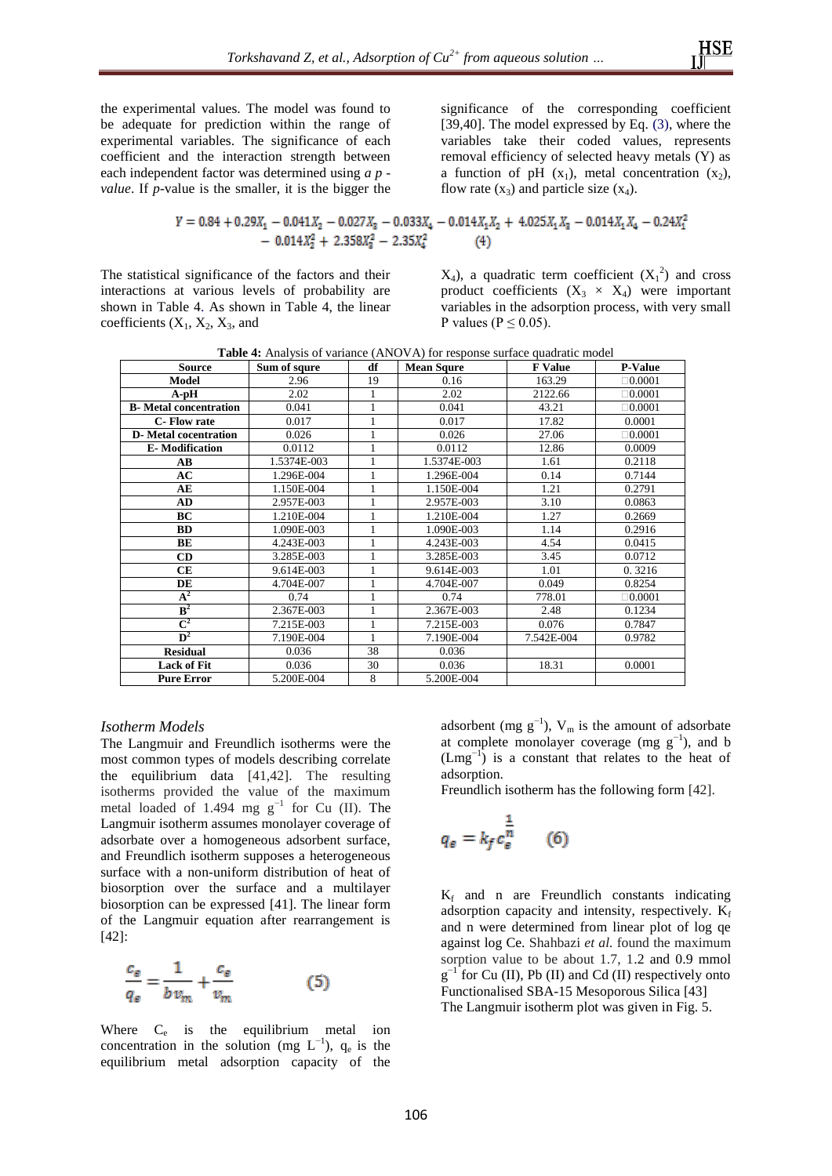the experimental values. The model was found to be adequate for prediction within the range of experimental variables. The significance of each coefficient and the interaction strength between each independent factor was determined using *a p -*

significance of the corresponding coefficient [39,40]. The model expressed by Eq.  $(3)$ , where the variables take their coded values, represents removal efficiency of selected heavy metals (Y) as a function of pH  $(x_1)$ , metal concentration  $(x_2)$ , flow rate  $(x_3)$  and particle size  $(x_4)$ .

$$
Y = 0.84 + 0.29X_1 - 0.041X_2 - 0.027X_3 - 0.033X_4 - 0.014X_1X_2 + 4.025X_1X_3 - 0.014X_1X_4 - 0.24X_1^2 - 0.014X_2^2 + 2.358X_3^2 - 2.35X_4^2
$$
\n(4)

The statistical significance of the factors and their interactions at various levels of probability are shown in Table 4. As shown in Table 4, the linear coefficients  $(X_1, X_2, X_3, \text{ and})$ 

*value*. If *p*-value is the smaller, it is the bigger the

 $X_4$ ), a quadratic term coefficient  $(X_1^2)$  and cross product coefficients  $(X_3 \times X_4)$  were important variables in the adsorption process, with very small P values ( $P \le 0.05$ ).

|  |  | <b>Table 4:</b> Analysis of variance (ANOVA) for response surface quadratic model |
|--|--|-----------------------------------------------------------------------------------|
|--|--|-----------------------------------------------------------------------------------|

| <b>Source</b>                 | Sum of squre | df           | <b>Mean Squre</b> | <b>F</b> Value | <b>P-Value</b> |
|-------------------------------|--------------|--------------|-------------------|----------------|----------------|
| <b>Model</b>                  | 2.96         | 19           | 0.16              | 163.29         | $\Box 0.0001$  |
| $A$ -p $H$                    | 2.02         |              | 2.02              | 2122.66        | $\Box 0.0001$  |
| <b>B</b> -Metal concentration | 0.041        | 1            | 0.041             | 43.21          | $\Box 0.0001$  |
| C-Flow rate                   | 0.017        | $\mathbf{1}$ | 0.017             | 17.82          | 0.0001         |
| <b>D</b> -Metal cocentration  | 0.026        |              | 0.026             | 27.06          | $\Box 0.0001$  |
| <b>E-Modification</b>         | 0.0112       |              | 0.0112            | 12.86          | 0.0009         |
| AB                            | 1.5374E-003  |              | 1.5374E-003       | 1.61           | 0.2118         |
| AC                            | 1.296E-004   | 1            | 1.296E-004        | 0.14           | 0.7144         |
| AE                            | 1.150E-004   |              | 1.150E-004        | 1.21           | 0.2791         |
| AD                            | 2.957E-003   |              | 2.957E-003        | 3.10           | 0.0863         |
| BC                            | 1.210E-004   |              | 1.210E-004        | 1.27           | 0.2669         |
| <b>BD</b>                     | 1.090E-003   | 1            | 1.090E-003        | 1.14           | 0.2916         |
| BE                            | 4.243E-003   | 1            | 4.243E-003        | 4.54           | 0.0415         |
| <b>CD</b>                     | 3.285E-003   |              | 3.285E-003        | 3.45           | 0.0712         |
| CE                            | 9.614E-003   | $\mathbf{1}$ | 9.614E-003        | 1.01           | 0.3216         |
| DE                            | 4.704E-007   |              | 4.704E-007        | 0.049          | 0.8254         |
| $A^2$                         | 0.74         | 1            | 0.74              | 778.01         | $\Box 0.0001$  |
| $\mathbf{B}^2$                | 2.367E-003   |              | 2.367E-003        | 2.48           | 0.1234         |
| $\overline{\mathrm{C}}^2$     | 7.215E-003   |              | 7.215E-003        | 0.076          | 0.7847         |
| $\overline{\mathbf{D}^2}$     | 7.190E-004   | 1            | 7.190E-004        | 7.542E-004     | 0.9782         |
| <b>Residual</b>               | 0.036        | 38           | 0.036             |                |                |
| <b>Lack of Fit</b>            | 0.036        | 30           | 0.036             | 18.31          | 0.0001         |
| <b>Pure Error</b>             | 5.200E-004   | 8            | 5.200E-004        |                |                |

#### *Isotherm Models*

The Langmuir and Freundlich isotherms were the most common types of models describing correlate the equilibrium data [41,42]. The resulting isotherms provided the value of the maximum metal loaded of 1.494 mg  $g^{-1}$  for Cu (II). The Langmuir isotherm assumes monolayer coverage of adsorbate over a homogeneous adsorbent surface, and Freundlich isotherm supposes a heterogeneous surface with a non-uniform distribution of heat of biosorption over the surface and a multilayer biosorption can be expressed [41]. The linear form of the Langmuir equation after rearrangement is [42]:

$$
\frac{c_{\varepsilon}}{q_{\varepsilon}} = \frac{1}{b v_m} + \frac{c_{\varepsilon}}{v_m} \tag{5}
$$

Where  $C_e$  is the equilibrium metal ion concentration in the solution (mg  $L^{-1}$ ),  $q_e$  is the equilibrium metal adsorption capacity of the

adsorbent (mg  $g^{-1}$ ), V<sub>m</sub> is the amount of adsorbate at complete monolayer coverage (mg  $g^{-1}$ ), and b (Lmg−1 ) is a constant that relates to the heat of adsorption.

Freundlich isotherm has the following form [42].

$$
q_e = k_f c_e^{\frac{1}{n}} \qquad (6)
$$

 $K_f$  and n are Freundlich constants indicating adsorption capacity and intensity, respectively.  $K_f$ and n were determined from linear plot of log qe against log Ce. Shahbazi *et al.* found the maximum sorption value to be about 1.7, 1.2 and 0.9 mmol  $g^{-1}$  for Cu (II), Pb (II) and Cd (II) respectively onto Functionalised SBA-15 Mesoporous Silica [43] The Langmuir isotherm plot was given in Fig. 5.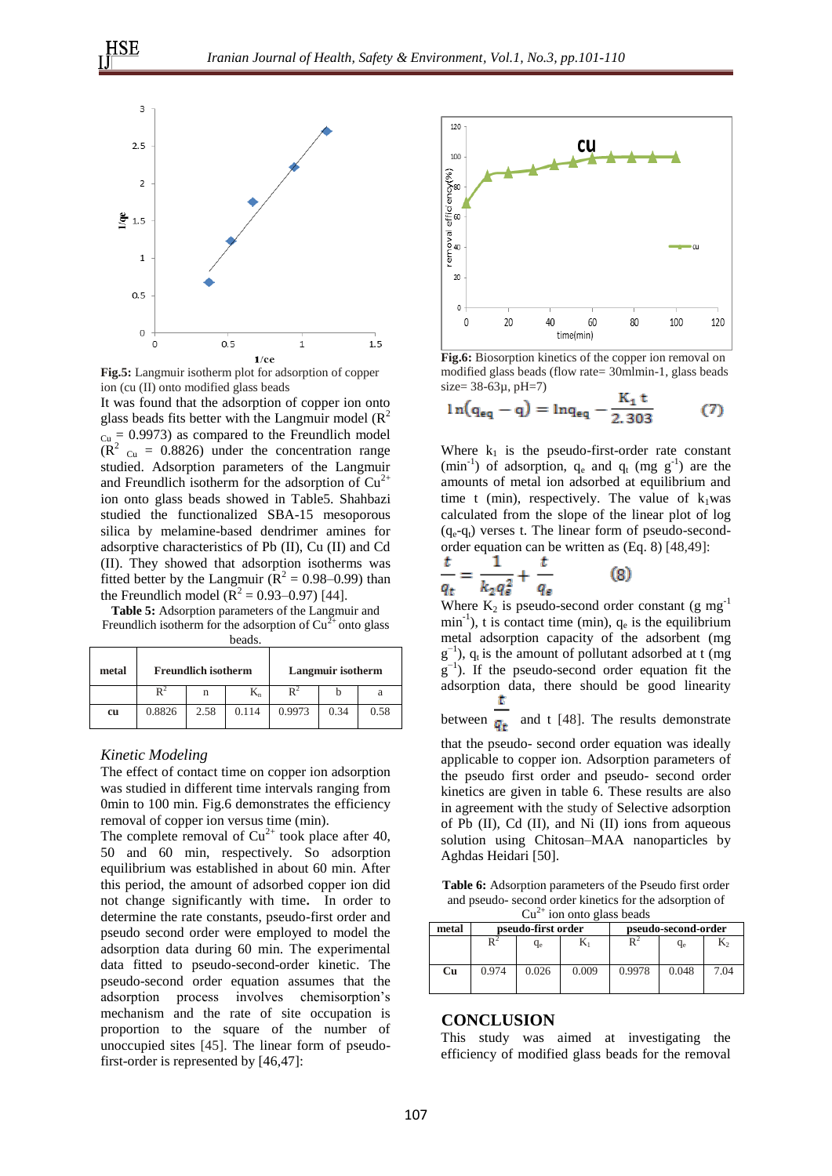

**Fig.5:** Langmuir isotherm plot for adsorption of copper ion (cu (II) onto modified glass beads

It was found that the adsorption of copper ion onto glass beads fits better with the Langmuir model  $(R^2)$  $_{Cu}$  = 0.9973) as compared to the Freundlich model  $(R<sup>2</sup>$  <sub>Cu</sub> = 0.8826) under the concentration range studied. Adsorption parameters of the Langmuir and Freundlich isotherm for the adsorption of  $Cu^{2+}$ ion onto glass beads showed in Table5. Shahbazi studied the functionalized SBA-15 mesoporous silica by melamine-based dendrimer amines for adsorptive characteristics of Pb (II), Cu (II) and Cd (II). They showed that adsorption isotherms was fitted better by the Langmuir ( $\mathbb{R}^2 = 0.98 - 0.99$ ) than the Freundlich model ( $\mathbb{R}^2 = 0.93 - 0.97$ ) [44].

**Table 5:** Adsorption parameters of the Langmuir and Freundlich isotherm for the adsorption of  $Cu^{2+}$  onto glass beads.

| metal | <b>Freundlich isotherm</b> |      |       |        | Langmuir isotherm |      |
|-------|----------------------------|------|-------|--------|-------------------|------|
|       |                            | n    | $K_n$ |        |                   |      |
| cu    | 0.8826                     | 2.58 | 0.114 | 0.9973 | 0.34              | 0.58 |

#### *Kinetic Modeling*

The effect of contact time on copper ion adsorption was studied in different time intervals ranging from 0min to 100 min. Fig.6 demonstrates the efficiency removal of copper ion versus time (min).

The complete removal of  $Cu^{2+}$  took place after 40, 50 and 60 min, respectively. So adsorption equilibrium was established in about 60 min. After this period, the amount of adsorbed copper ion did not change significantly with time**.** In order to determine the rate constants, pseudo-first order and pseudo second order were employed to model the adsorption data during 60 min. The experimental data fitted to pseudo-second-order kinetic. The pseudo-second order equation assumes that the adsorption process involves chemisorption's mechanism and the rate of site occupation is proportion to the square of the number of unoccupied sites [45]. The linear form of pseudofirst-order is represented by [46,47]:



**Fig.6:** Biosorption kinetics of the copper ion removal on modified glass beads (flow rate= 30mlmin-1, glass beads  $size = 38-63\mu, pH=7)$ 

$$
ln(q_{eq} - q) = ln q_{eq} - \frac{K_1 t}{2.303}
$$
 (7)

Where  $k_1$  is the pseudo-first-order rate constant  $(\text{min}^{-1})$  of adsorption,  $q_e$  and  $q_t$  (mg g<sup>-1</sup>) are the amounts of metal ion adsorbed at equilibrium and time t (min), respectively. The value of  $k_1$ was calculated from the slope of the linear plot of log  $(q_e-q_t)$  verses t. The linear form of pseudo-secondorder equation can be written as (Eq. 8) [48,49]:

$$
\frac{t}{q_t} = \frac{1}{k_2 q_{\varepsilon}^2} + \frac{t}{q_{\varepsilon}} \tag{8}
$$

Where  $K_2$  is pseudo-second order constant (g mg<sup>-1</sup>)  $min^{-1}$ ), t is contact time (min),  $q_e$  is the equilibrium metal adsorption capacity of the adsorbent (mg  $g^{-1}$ ),  $q_t$  is the amount of pollutant adsorbed at t (mg) g<sup>-1</sup>). If the pseudo-second order equation fit the adsorption data, there should be good linearity

between  $\frac{t}{q_t}$  and t [48]. The results demonstrate

that the pseudo- second order equation was ideally applicable to copper ion. Adsorption parameters of the pseudo first order and pseudo- second order kinetics are given in table 6. These results are also in agreement with the study of Selective adsorption of Pb (II), Cd (II), and Ni (II) ions from aqueous solution using Chitosan–MAA nanoparticles by Aghdas Heidari [50].

**Table 6:** Adsorption parameters of the Pseudo first order and pseudo- second order kinetics for the adsorption of  $Cu<sup>2+</sup>$  ion onto glass beads

| metal | pseudo-first order |       |       |        | pseudo-second-order |      |
|-------|--------------------|-------|-------|--------|---------------------|------|
|       |                    | qе    |       |        | q <sub>e</sub>      | K,   |
| Cu    | 0.974              | 0.026 | 0.009 | 0.9978 | 0.048               | 7.04 |

#### **CONCLUSION**

This study was aimed at investigating the efficiency of modified glass beads for the removal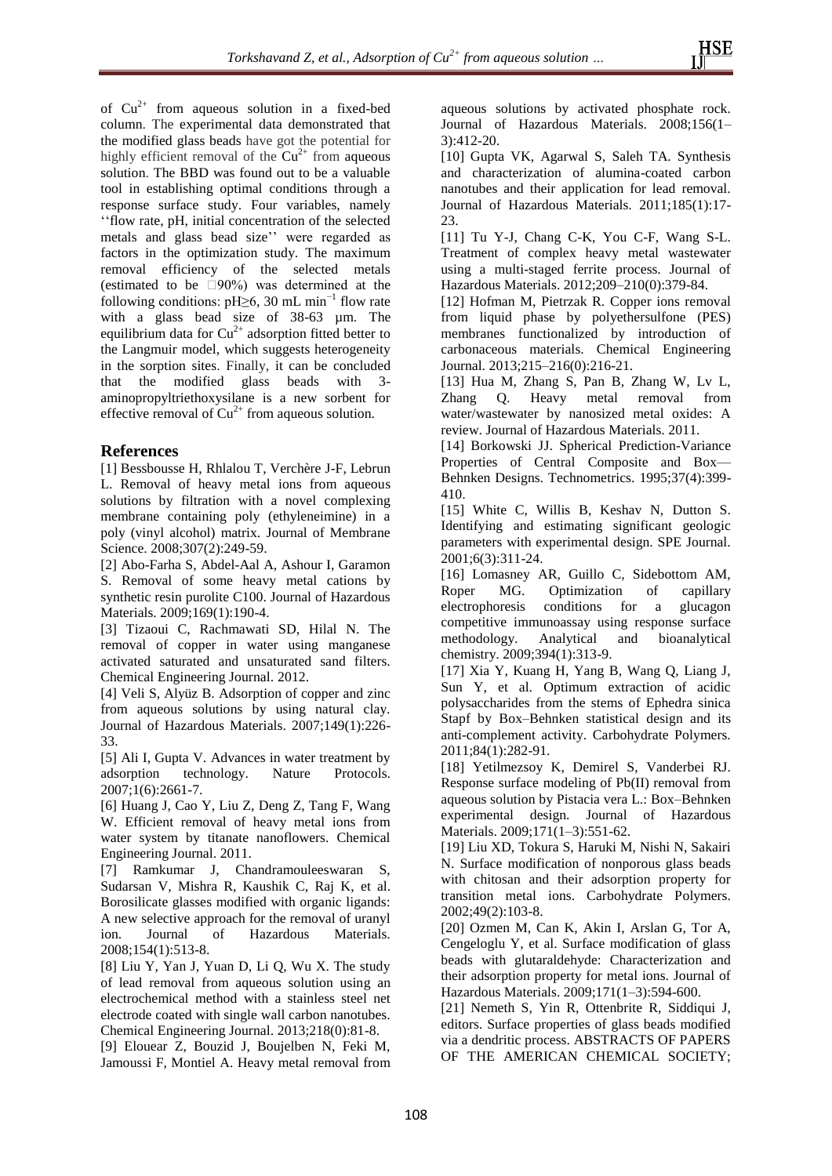of  $Cu^{2+}$  from aqueous solution in a fixed-bed column. The experimental data demonstrated that the modified glass beads have got the potential for highly efficient removal of the  $Cu^{2+}$  from aqueous solution. The BBD was found out to be a valuable tool in establishing optimal conditions through a response surface study. Four variables, namely ''flow rate, pH, initial concentration of the selected metals and glass bead size'' were regarded as factors in the optimization study. The maximum removal efficiency of the selected metals (estimated to be  $\Box 90\%$ ) was determined at the following conditions:  $pH \geq 6$ , 30 mL min<sup>-1</sup> flow rate with a glass bead size of 38-63 µm. The equilibrium data for  $Cu^{2+}$  adsorption fitted better to the Langmuir model, which suggests heterogeneity in the sorption sites. Finally, it can be concluded that the modified glass beads with 3 aminopropyltriethoxysilane is a new sorbent for effective removal of  $Cu^{2+}$  from aqueous solution.

## **References**

[1] Bessbousse H, Rhlalou T, Verchère J-F, Lebrun L. Removal of heavy metal ions from aqueous solutions by filtration with a novel complexing membrane containing poly (ethyleneimine) in a poly (vinyl alcohol) matrix. Journal of Membrane Science. 2008:307(2):249-59.

[2] Abo-Farha S, Abdel-Aal A, Ashour I, Garamon S. Removal of some heavy metal cations by synthetic resin purolite C100. Journal of Hazardous Materials. 2009;169(1):190-4.

[3] Tizaoui C, Rachmawati SD, Hilal N. The removal of copper in water using manganese activated saturated and unsaturated sand filters. Chemical Engineering Journal. 2012.

[4] Veli S, Alyüz B. Adsorption of copper and zinc from aqueous solutions by using natural clay. Journal of Hazardous Materials. 2007;149(1):226- 33.

[5] Ali I, Gupta V. Advances in water treatment by adsorption technology. Nature Protocols. 2007;1(6):2661-7.

[6] Huang J, Cao Y, Liu Z, Deng Z, Tang F, Wang W. Efficient removal of heavy metal ions from water system by titanate nanoflowers. Chemical Engineering Journal. 2011.

[7] Ramkumar J, Chandramouleeswaran S, Sudarsan V, Mishra R, Kaushik C, Raj K, et al. Borosilicate glasses modified with organic ligands: A new selective approach for the removal of uranyl ion. Journal of Hazardous Materials. 2008;154(1):513-8.

[8] Liu Y, Yan J, Yuan D, Li Q, Wu X. The study of lead removal from aqueous solution using an electrochemical method with a stainless steel net electrode coated with single wall carbon nanotubes. Chemical Engineering Journal. 2013;218(0):81-8.

[9] Elouear Z, Bouzid J, Boujelben N, Feki M, Jamoussi F, Montiel A. Heavy metal removal from aqueous solutions by activated phosphate rock. Journal of Hazardous Materials. 2008;156(1– 3):412-20.

[10] Gupta VK, Agarwal S, Saleh TA. Synthesis and characterization of alumina-coated carbon nanotubes and their application for lead removal. Journal of Hazardous Materials. 2011;185(1):17-  $23.$ 

[11] Tu Y-J, Chang C-K, You C-F, Wang S-L. Treatment of complex heavy metal wastewater using a multi-staged ferrite process. Journal of Hazardous Materials. 2012;209–210(0):379-84.

[12] Hofman M, Pietrzak R. Copper ions removal from liquid phase by polyethersulfone (PES) membranes functionalized by introduction of carbonaceous materials. Chemical Engineering Journal. 2013;215–216(0):216-21.

[13] Hua M, Zhang S, Pan B, Zhang W, Lv L, Zhang Q. Heavy metal removal from water/wastewater by nanosized metal oxides: A review. Journal of Hazardous Materials. 2011.

[14] Borkowski JJ. Spherical Prediction-Variance Properties of Central Composite and Box— Behnken Designs. Technometrics. 1995;37(4):399- 410.

[15] White C, Willis B, Keshav N, Dutton S. Identifying and estimating significant geologic parameters with experimental design. SPE Journal. 2001;6(3):311-24.

[16] Lomasney AR, Guillo C, Sidebottom AM, Roper MG. Optimization of capillary electrophoresis conditions for a glucagon competitive immunoassay using response surface methodology. Analytical and bioanalytical chemistry. 2009;394(1):313-9.

[17] Xia Y, Kuang H, Yang B, Wang Q, Liang J, Sun Y, et al. Optimum extraction of acidic polysaccharides from the stems of Ephedra sinica Stapf by Box–Behnken statistical design and its anti-complement activity. Carbohydrate Polymers. 2011;84(1):282-91.

[18] Yetilmezsoy K, Demirel S, Vanderbei RJ. Response surface modeling of Pb(II) removal from aqueous solution by Pistacia vera L.: Box–Behnken experimental design. Journal of Hazardous Materials. 2009;171(1–3):551-62.

[19] Liu XD, Tokura S, Haruki M, Nishi N, Sakairi N. Surface modification of nonporous glass beads with chitosan and their adsorption property for transition metal ions. Carbohydrate Polymers. 2002;49(2):103-8.

[20] Ozmen M, Can K, Akin I, Arslan G, Tor A, Cengeloglu Y, et al. Surface modification of glass beads with glutaraldehyde: Characterization and their adsorption property for metal ions. Journal of Hazardous Materials. 2009;171(1–3):594-600.

[21] Nemeth S, Yin R, Ottenbrite R, Siddiqui J, editors. Surface properties of glass beads modified via a dendritic process. ABSTRACTS OF PAPERS OF THE AMERICAN CHEMICAL SOCIETY;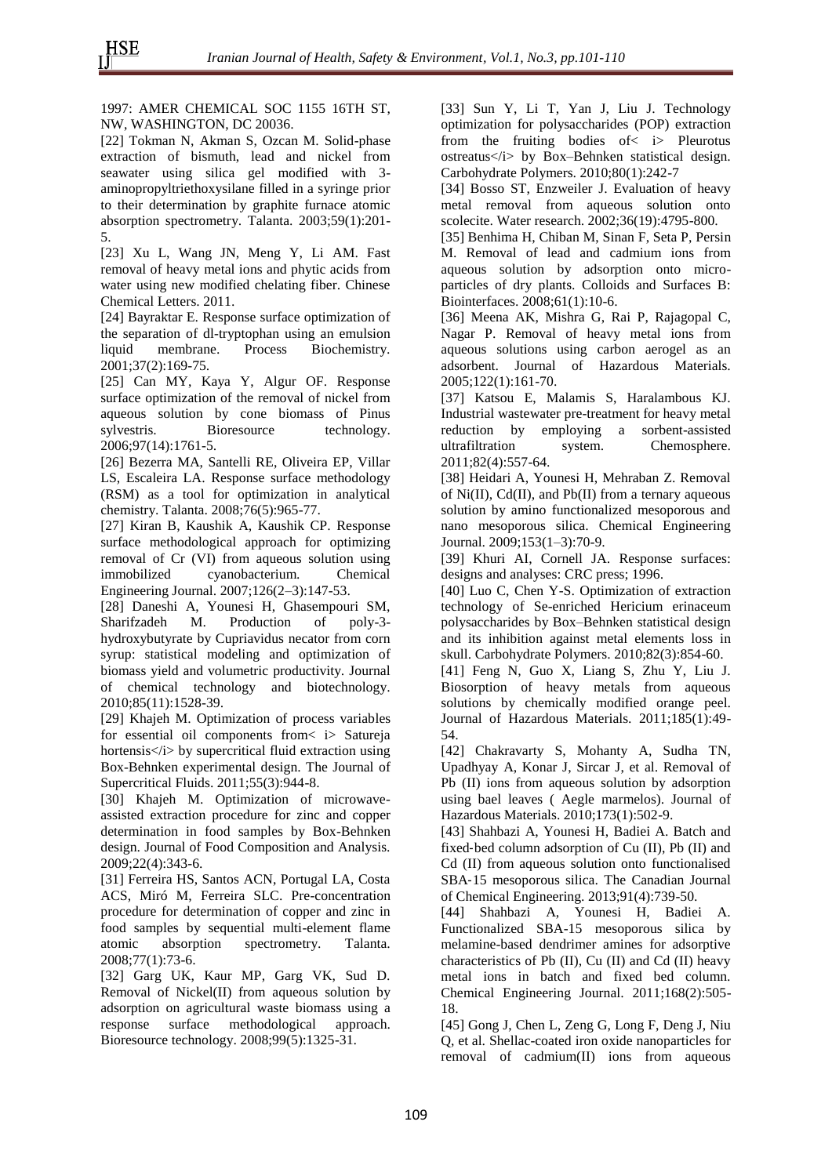1997: AMER CHEMICAL SOC 1155 16TH ST, NW, WASHINGTON, DC 20036.

[22] Tokman N, Akman S, Ozcan M. Solid-phase extraction of bismuth, lead and nickel from seawater using silica gel modified with 3 aminopropyltriethoxysilane filled in a syringe prior to their determination by graphite furnace atomic absorption spectrometry. Talanta. 2003;59(1):201- 5.

[23] Xu L, Wang JN, Meng Y, Li AM. Fast removal of heavy metal ions and phytic acids from water using new modified chelating fiber. Chinese Chemical Letters. 2011.

[24] Bayraktar E. Response surface optimization of the separation of dl-tryptophan using an emulsion liquid membrane. Process Biochemistry. 2001;37(2):169-75.

[25] Can MY, Kaya Y, Algur OF. Response surface optimization of the removal of nickel from aqueous solution by cone biomass of Pinus sylvestris. Bioresource technology. 2006;97(14):1761-5.

[26] Bezerra MA, Santelli RE, Oliveira EP, Villar LS, Escaleira LA. Response surface methodology (RSM) as a tool for optimization in analytical chemistry. Talanta. 2008;76(5):965-77.

[27] Kiran B, Kaushik A, Kaushik CP. Response surface methodological approach for optimizing removal of Cr (VI) from aqueous solution using immobilized cyanobacterium. Chemical Engineering Journal. 2007;126(2–3):147-53.

[28] Daneshi A, Younesi H, Ghasempouri SM, Sharifzadeh M. Production of poly-3 hydroxybutyrate by Cupriavidus necator from corn syrup: statistical modeling and optimization of biomass yield and volumetric productivity. Journal of chemical technology and biotechnology. 2010;85(11):1528-39.

[29] Khajeh M. Optimization of process variables for essential oil components from< i> Satureja hortensis</i> by supercritical fluid extraction using Box-Behnken experimental design. The Journal of Supercritical Fluids. 2011;55(3):944-8.

[30] Khajeh M. Optimization of microwaveassisted extraction procedure for zinc and copper determination in food samples by Box-Behnken design. Journal of Food Composition and Analysis. 2009;22(4):343-6.

[31] Ferreira HS, Santos ACN, Portugal LA, Costa ACS, Miró M, Ferreira SLC. Pre-concentration procedure for determination of copper and zinc in food samples by sequential multi-element flame atomic absorption spectrometry. Talanta. 2008;77(1):73-6.

[32] Garg UK, Kaur MP, Garg VK, Sud D. Removal of Nickel(II) from aqueous solution by adsorption on agricultural waste biomass using a response surface methodological approach. Bioresource technology. 2008;99(5):1325-31.

[33] Sun Y, Li T, Yan J, Liu J. Technology optimization for polysaccharides (POP) extraction from the fruiting bodies of< i> Pleurotus ostreatus</i> by Box–Behnken statistical design. Carbohydrate Polymers. 2010;80(1):242-7

[34] Bosso ST, Enzweiler J. Evaluation of heavy metal removal from aqueous solution onto scolecite. Water research. 2002;36(19):4795-800.

[35] Benhima H, Chiban M, Sinan F, Seta P, Persin M. Removal of lead and cadmium ions from aqueous solution by adsorption onto microparticles of dry plants. Colloids and Surfaces B: Biointerfaces. 2008;61(1):10-6.

[36] Meena AK, Mishra G, Rai P, Rajagopal C, Nagar P. Removal of heavy metal ions from aqueous solutions using carbon aerogel as an adsorbent. Journal of Hazardous Materials. 2005;122(1):161-70.

[37] Katsou E, Malamis S, Haralambous KJ. Industrial wastewater pre-treatment for heavy metal reduction by employing a sorbent-assisted ultrafiltration system. Chemosphere. 2011;82(4):557-64.

[38] Heidari A, Younesi H, Mehraban Z. Removal of  $Ni(II)$ ,  $Cd(II)$ , and  $Pb(II)$  from a ternary aqueous solution by amino functionalized mesoporous and nano mesoporous silica. Chemical Engineering Journal. 2009;153(1–3):70-9.

[39] Khuri AI, Cornell JA. Response surfaces: designs and analyses: CRC press; 1996.

[40] Luo C, Chen Y-S. Optimization of extraction technology of Se-enriched Hericium erinaceum polysaccharides by Box–Behnken statistical design and its inhibition against metal elements loss in skull. Carbohydrate Polymers. 2010;82(3):854-60.

[41] Feng N, Guo X, Liang S, Zhu Y, Liu J. Biosorption of heavy metals from aqueous solutions by chemically modified orange peel. Journal of Hazardous Materials. 2011;185(1):49- 54.

[42] Chakravarty S, Mohanty A, Sudha TN, Upadhyay A, Konar J, Sircar J, et al. Removal of Pb (II) ions from aqueous solution by adsorption using bael leaves ( Aegle marmelos). Journal of Hazardous Materials. 2010;173(1):502-9.

[43] Shahbazi A, Younesi H, Badiei A. Batch and fixed-bed column adsorption of Cu (II), Pb (II) and Cd (II) from aqueous solution onto functionalised SBA‐15 mesoporous silica. The Canadian Journal of Chemical Engineering. 2013;91(4):739-50.

[44] Shahbazi A, Younesi H, Badiei A. Functionalized SBA-15 mesoporous silica by melamine-based dendrimer amines for adsorptive characteristics of Pb  $(II)$ , Cu  $(II)$  and Cd  $(II)$  heavy metal ions in batch and fixed bed column. Chemical Engineering Journal. 2011;168(2):505- 18.

[45] Gong J, Chen L, Zeng G, Long F, Deng J, Niu Q, et al. Shellac-coated iron oxide nanoparticles for removal of cadmium(II) ions from aqueous